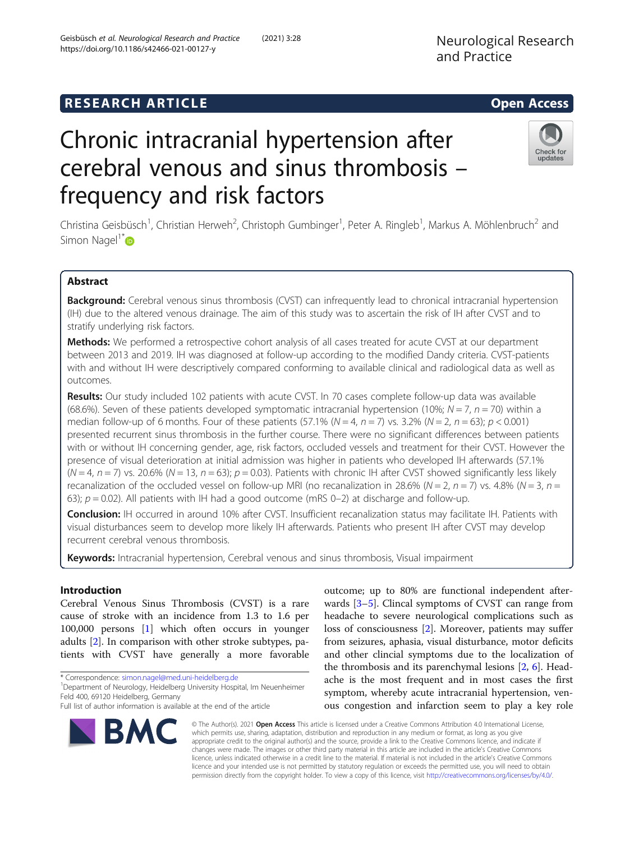## **RESEARCH ARTICLE Example 2014 12:30 The SEAR CH ACCESS**

# Chronic intracranial hypertension after cerebral venous and sinus thrombosis – frequency and risk factors

Christina Geisbüsch<sup>1</sup>, Christian Herweh<sup>2</sup>, Christoph Gumbinger<sup>1</sup>, Peter A. Ringleb<sup>1</sup>, Markus A. Möhlenbruch<sup>2</sup> and Simon Nagel<sup>1[\\*](http://orcid.org/0000-0003-2471-6647)</sup>

## Abstract

Background: Cerebral venous sinus thrombosis (CVST) can infrequently lead to chronical intracranial hypertension (IH) due to the altered venous drainage. The aim of this study was to ascertain the risk of IH after CVST and to stratify underlying risk factors.

Methods: We performed a retrospective cohort analysis of all cases treated for acute CVST at our department between 2013 and 2019. IH was diagnosed at follow-up according to the modified Dandy criteria. CVST-patients with and without IH were descriptively compared conforming to available clinical and radiological data as well as outcomes.

Results: Our study included 102 patients with acute CVST. In 70 cases complete follow-up data was available (68.6%). Seven of these patients developed symptomatic intracranial hypertension (10%;  $N = 7$ ,  $n = 70$ ) within a median follow-up of 6 months. Four of these patients (57.1% ( $N = 4$ ,  $n = 7$ ) vs. 3.2% ( $N = 2$ ,  $n = 63$ );  $p < 0.001$ ) presented recurrent sinus thrombosis in the further course. There were no significant differences between patients with or without IH concerning gender, age, risk factors, occluded vessels and treatment for their CVST. However the presence of visual deterioration at initial admission was higher in patients who developed IH afterwards (57.1%  $(N = 4, n = 7)$  vs. 20.6%  $(N = 13, n = 63)$ ;  $p = 0.03$ ). Patients with chronic IH after CVST showed significantly less likely recanalization of the occluded vessel on follow-up MRI (no recanalization in 28.6% ( $N = 2$ ,  $n = 7$ ) vs. 4.8% ( $N = 3$ ,  $n = 1$ ) 63);  $p = 0.02$ ). All patients with IH had a good outcome (mRS 0–2) at discharge and follow-up.

Conclusion: IH occurred in around 10% after CVST. Insufficient recanalization status may facilitate IH. Patients with visual disturbances seem to develop more likely IH afterwards. Patients who present IH after CVST may develop recurrent cerebral venous thrombosis.

Keywords: Intracranial hypertension, Cerebral venous and sinus thrombosis, Visual impairment

## Introduction

Cerebral Venous Sinus Thrombosis (CVST) is a rare cause of stroke with an incidence from 1.3 to 1.6 per 100,000 persons [\[1](#page-6-0)] which often occurs in younger adults [\[2](#page-6-0)]. In comparison with other stroke subtypes, patients with CVST have generally a more favorable

\* Correspondence: [simon.nagel@med.uni-heidelberg.de](mailto:simon.nagel@med.uni-heidelberg.de) <sup>1</sup>

BMC

<sup>1</sup> Department of Neurology, Heidelberg University Hospital, Im Neuenheimer Feld 400, 69120 Heidelberg, Germany

Full list of author information is available at the end of the article

outcome; up to 80% are functional independent afterwards [\[3](#page-6-0)–[5\]](#page-7-0). Clincal symptoms of CVST can range from headache to severe neurological complications such as loss of consciousness [\[2](#page-6-0)]. Moreover, patients may suffer from seizures, aphasia, visual disturbance, motor deficits and other clincial symptoms due to the localization of the thrombosis and its parenchymal lesions [[2,](#page-6-0) [6\]](#page-7-0). Headache is the most frequent and in most cases the first symptom, whereby acute intracranial hypertension, venous congestion and infarction seem to play a key role

© The Author(s). 2021 Open Access This article is licensed under a Creative Commons Attribution 4.0 International License, which permits use, sharing, adaptation, distribution and reproduction in any medium or format, as long as you give appropriate credit to the original author(s) and the source, provide a link to the Creative Commons licence, and indicate if changes were made. The images or other third party material in this article are included in the article's Creative Commons licence, unless indicated otherwise in a credit line to the material. If material is not included in the article's Creative Commons licence and your intended use is not permitted by statutory regulation or exceeds the permitted use, you will need to obtain permission directly from the copyright holder. To view a copy of this licence, visit [http://creativecommons.org/licenses/by/4.0/.](http://creativecommons.org/licenses/by/4.0/)



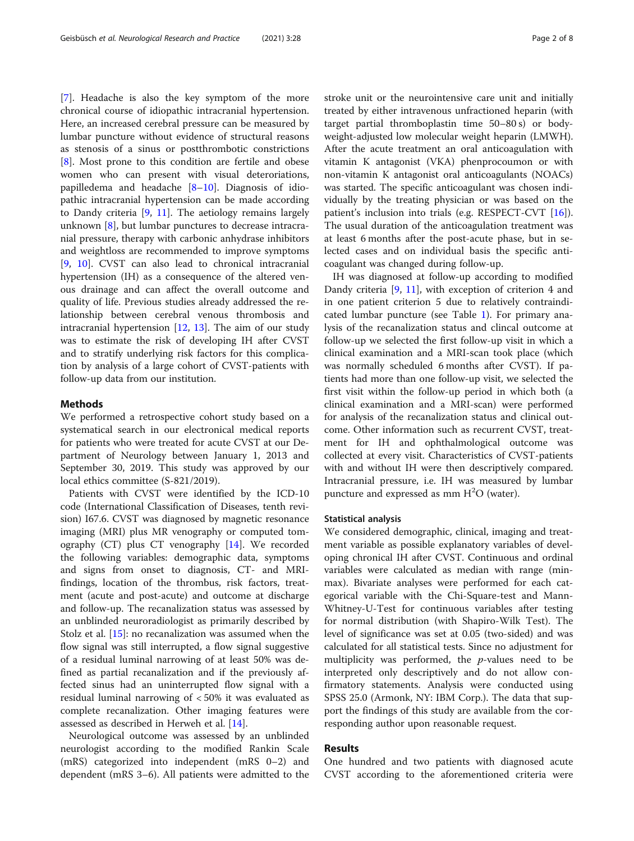[[7\]](#page-7-0). Headache is also the key symptom of the more chronical course of idiopathic intracranial hypertension. Here, an increased cerebral pressure can be measured by lumbar puncture without evidence of structural reasons as stenosis of a sinus or postthrombotic constrictions [[8\]](#page-7-0). Most prone to this condition are fertile and obese women who can present with visual deteroriations, papilledema and headache [[8](#page-7-0)–[10\]](#page-7-0). Diagnosis of idiopathic intracranial hypertension can be made according to Dandy criteria [[9,](#page-7-0) [11\]](#page-7-0). The aetiology remains largely unknown [\[8](#page-7-0)], but lumbar punctures to decrease intracranial pressure, therapy with carbonic anhydrase inhibitors and weightloss are recommended to improve symptoms [[9,](#page-7-0) [10](#page-7-0)]. CVST can also lead to chronical intracranial hypertension (IH) as a consequence of the altered venous drainage and can affect the overall outcome and quality of life. Previous studies already addressed the relationship between cerebral venous thrombosis and intracranial hypertension  $[12, 13]$  $[12, 13]$  $[12, 13]$  $[12, 13]$ . The aim of our study was to estimate the risk of developing IH after CVST and to stratify underlying risk factors for this complication by analysis of a large cohort of CVST-patients with follow-up data from our institution.

#### Methods

We performed a retrospective cohort study based on a systematical search in our electronical medical reports for patients who were treated for acute CVST at our Department of Neurology between January 1, 2013 and September 30, 2019. This study was approved by our local ethics committee (S-821/2019).

Patients with CVST were identified by the ICD-10 code (International Classification of Diseases, tenth revision) I67.6. CVST was diagnosed by magnetic resonance imaging (MRI) plus MR venography or computed tomography (CT) plus CT venography [[14\]](#page-7-0). We recorded the following variables: demographic data, symptoms and signs from onset to diagnosis, CT- and MRIfindings, location of the thrombus, risk factors, treatment (acute and post-acute) and outcome at discharge and follow-up. The recanalization status was assessed by an unblinded neuroradiologist as primarily described by Stolz et al. [[15](#page-7-0)]: no recanalization was assumed when the flow signal was still interrupted, a flow signal suggestive of a residual luminal narrowing of at least 50% was defined as partial recanalization and if the previously affected sinus had an uninterrupted flow signal with a residual luminal narrowing of < 50% it was evaluated as complete recanalization. Other imaging features were assessed as described in Herweh et al. [[14\]](#page-7-0).

Neurological outcome was assessed by an unblinded neurologist according to the modified Rankin Scale (mRS) categorized into independent (mRS 0–2) and dependent (mRS 3–6). All patients were admitted to the stroke unit or the neurointensive care unit and initially treated by either intravenous unfractioned heparin (with target partial thromboplastin time 50–80 s) or bodyweight-adjusted low molecular weight heparin (LMWH). After the acute treatment an oral anticoagulation with vitamin K antagonist (VKA) phenprocoumon or with non-vitamin K antagonist oral anticoagulants (NOACs) was started. The specific anticoagulant was chosen individually by the treating physician or was based on the patient's inclusion into trials (e.g. RESPECT-CVT [\[16](#page-7-0)]). The usual duration of the anticoagulation treatment was at least 6 months after the post-acute phase, but in selected cases and on individual basis the specific anticoagulant was changed during follow-up.

IH was diagnosed at follow-up according to modified Dandy criteria [[9,](#page-7-0) [11](#page-7-0)], with exception of criterion 4 and in one patient criterion 5 due to relatively contraindicated lumbar puncture (see Table [1\)](#page-2-0). For primary analysis of the recanalization status and clincal outcome at follow-up we selected the first follow-up visit in which a clinical examination and a MRI-scan took place (which was normally scheduled 6 months after CVST). If patients had more than one follow-up visit, we selected the first visit within the follow-up period in which both (a clinical examination and a MRI-scan) were performed for analysis of the recanalization status and clinical outcome. Other information such as recurrent CVST, treatment for IH and ophthalmological outcome was collected at every visit. Characteristics of CVST-patients with and without IH were then descriptively compared. Intracranial pressure, i.e. IH was measured by lumbar puncture and expressed as mm  $H<sup>2</sup>O$  (water).

#### Statistical analysis

We considered demographic, clinical, imaging and treatment variable as possible explanatory variables of developing chronical IH after CVST. Continuous and ordinal variables were calculated as median with range (minmax). Bivariate analyses were performed for each categorical variable with the Chi-Square-test and Mann-Whitney-U-Test for continuous variables after testing for normal distribution (with Shapiro-Wilk Test). The level of significance was set at 0.05 (two-sided) and was calculated for all statistical tests. Since no adjustment for multiplicity was performed, the  $p$ -values need to be interpreted only descriptively and do not allow confirmatory statements. Analysis were conducted using SPSS 25.0 (Armonk, NY: IBM Corp.). The data that support the findings of this study are available from the corresponding author upon reasonable request.

## Results

One hundred and two patients with diagnosed acute CVST according to the aforementioned criteria were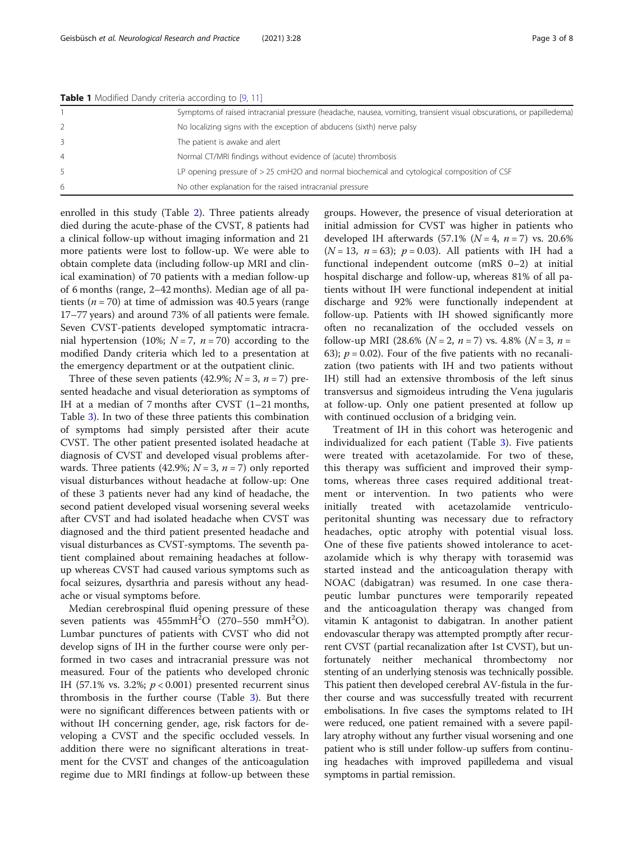|                | <b>Table 1</b> Informed Darley enteria according to [2, 11]                                                          |
|----------------|----------------------------------------------------------------------------------------------------------------------|
|                | Symptoms of raised intracranial pressure (headache, nausea, vomiting, transient visual obscurations, or papilledema) |
|                | No localizing signs with the exception of abducens (sixth) nerve palsy                                               |
|                | The patient is awake and alert                                                                                       |
| $\overline{4}$ | Normal CT/MRI findings without evidence of (acute) thrombosis                                                        |
|                | LP opening pressure of $>$ 25 cmH2O and normal biochemical and cytological composition of CSF                        |
| 6              | No other explanation for the raised intracranial pressure                                                            |

<span id="page-2-0"></span>Table 1 Modified Dandy criteria according to [\[9,](#page-7-0) [11](#page-7-0)]

enrolled in this study (Table [2](#page-3-0)). Three patients already died during the acute-phase of the CVST, 8 patients had a clinical follow-up without imaging information and 21 more patients were lost to follow-up. We were able to obtain complete data (including follow-up MRI and clinical examination) of 70 patients with a median follow-up of 6 months (range, 2–42 months). Median age of all patients ( $n = 70$ ) at time of admission was 40.5 years (range 17–77 years) and around 73% of all patients were female. Seven CVST-patients developed symptomatic intracranial hypertension (10%;  $N = 7$ ,  $n = 70$ ) according to the modified Dandy criteria which led to a presentation at the emergency department or at the outpatient clinic.

Three of these seven patients (42.9%;  $N = 3$ ,  $n = 7$ ) presented headache and visual deterioration as symptoms of IH at a median of 7 months after CVST (1–21 months, Table [3\)](#page-5-0). In two of these three patients this combination of symptoms had simply persisted after their acute CVST. The other patient presented isolated headache at diagnosis of CVST and developed visual problems afterwards. Three patients (42.9%;  $N = 3$ ,  $n = 7$ ) only reported visual disturbances without headache at follow-up: One of these 3 patients never had any kind of headache, the second patient developed visual worsening several weeks after CVST and had isolated headache when CVST was diagnosed and the third patient presented headache and visual disturbances as CVST-symptoms. The seventh patient complained about remaining headaches at followup whereas CVST had caused various symptoms such as focal seizures, dysarthria and paresis without any headache or visual symptoms before.

Median cerebrospinal fluid opening pressure of these seven patients was  $455$ mm $H^2O$  (270–550 mm $H^2O$ ). Lumbar punctures of patients with CVST who did not develop signs of IH in the further course were only performed in two cases and intracranial pressure was not measured. Four of the patients who developed chronic IH (57.1% vs. 3.2%;  $p < 0.001$ ) presented recurrent sinus thrombosis in the further course (Table [3\)](#page-5-0). But there were no significant differences between patients with or without IH concerning gender, age, risk factors for developing a CVST and the specific occluded vessels. In addition there were no significant alterations in treatment for the CVST and changes of the anticoagulation regime due to MRI findings at follow-up between these

groups. However, the presence of visual deterioration at initial admission for CVST was higher in patients who developed IH afterwards  $(57.1\%$   $(N = 4, n = 7)$  vs. 20.6%  $(N = 13, n = 63); p = 0.03$ . All patients with IH had a functional independent outcome (mRS 0–2) at initial hospital discharge and follow-up, whereas 81% of all patients without IH were functional independent at initial discharge and 92% were functionally independent at follow-up. Patients with IH showed significantly more often no recanalization of the occluded vessels on follow-up MRI (28.6% ( $N = 2$ ,  $n = 7$ ) vs. 4.8% ( $N = 3$ ,  $n =$ 63);  $p = 0.02$ ). Four of the five patients with no recanalization (two patients with IH and two patients without IH) still had an extensive thrombosis of the left sinus transversus and sigmoideus intruding the Vena jugularis at follow-up. Only one patient presented at follow up with continued occlusion of a bridging vein.

Treatment of IH in this cohort was heterogenic and individualized for each patient (Table [3](#page-5-0)). Five patients were treated with acetazolamide. For two of these, this therapy was sufficient and improved their symptoms, whereas three cases required additional treatment or intervention. In two patients who were initially treated with acetazolamide ventriculoperitonital shunting was necessary due to refractory headaches, optic atrophy with potential visual loss. One of these five patients showed intolerance to acetazolamide which is why therapy with torasemid was started instead and the anticoagulation therapy with NOAC (dabigatran) was resumed. In one case therapeutic lumbar punctures were temporarily repeated and the anticoagulation therapy was changed from vitamin K antagonist to dabigatran. In another patient endovascular therapy was attempted promptly after recurrent CVST (partial recanalization after 1st CVST), but unfortunately neither mechanical thrombectomy nor stenting of an underlying stenosis was technically possible. This patient then developed cerebral AV-fistula in the further course and was successfully treated with recurrent embolisations. In five cases the symptoms related to IH were reduced, one patient remained with a severe papillary atrophy without any further visual worsening and one patient who is still under follow-up suffers from continuing headaches with improved papilledema and visual symptoms in partial remission.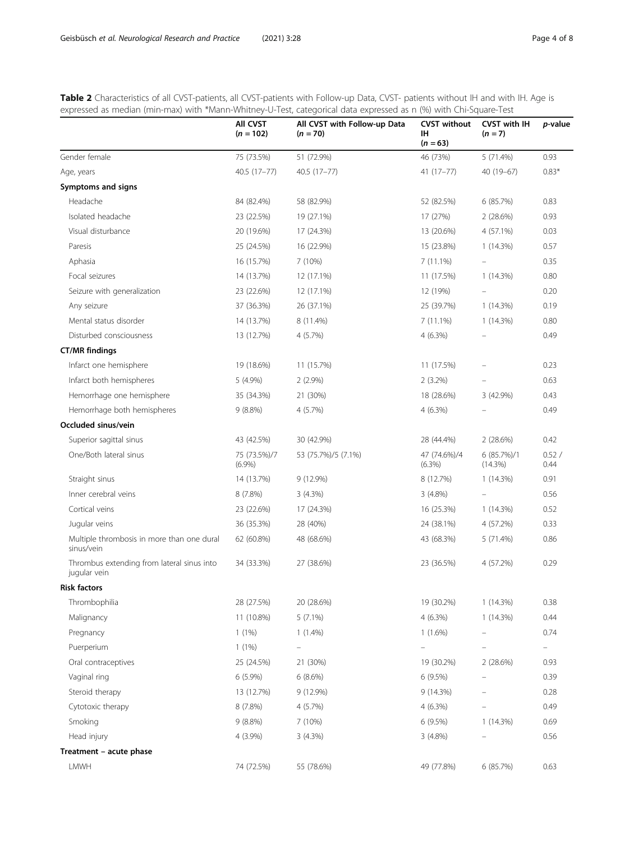<span id="page-3-0"></span>Table 2 Characteristics of all CVST-patients, all CVST-patients with Follow-up Data, CVST- patients without IH and with IH. Age is expressed as median (min-max) with \*Mann-Whitney-U-Test, categorical data expressed as n (%) with Chi-Square-Test

|                                                            | All CVST<br>$(n = 102)$   | All CVST with Follow-up Data<br>$(n = 70)$ | <b>CVST without</b><br>ıн<br>$(n = 63)$ | CVST with IH<br>$(n = 7)$ | p-value       |
|------------------------------------------------------------|---------------------------|--------------------------------------------|-----------------------------------------|---------------------------|---------------|
| Gender female                                              | 75 (73.5%)                | 51 (72.9%)                                 | 46 (73%)                                | 5 (71.4%)                 | 0.93          |
| Age, years                                                 | 40.5 (17-77)              | 40.5 (17-77)                               | $41(17-77)$                             | 40 (19-67)                | $0.83*$       |
| Symptoms and signs                                         |                           |                                            |                                         |                           |               |
| Headache                                                   | 84 (82.4%)                | 58 (82.9%)                                 | 52 (82.5%)                              | 6(85.7%)                  | 0.83          |
| Isolated headache                                          | 23 (22.5%)                | 19 (27.1%)                                 | 17 (27%)                                | 2(28.6%)                  | 0.93          |
| Visual disturbance                                         | 20 (19.6%)                | 17 (24.3%)                                 | 13 (20.6%)                              | 4 (57.1%)                 | 0.03          |
| Paresis                                                    | 25 (24.5%)                | 16 (22.9%)                                 | 15 (23.8%)                              | 1(14.3%)                  | 0.57          |
| Aphasia                                                    | 16 (15.7%)                | 7 (10%)                                    | 7(11.1%)                                |                           | 0.35          |
| Focal seizures                                             | 14 (13.7%)                | 12 (17.1%)                                 | 11 (17.5%)                              | 1(14.3%)                  | 0.80          |
| Seizure with generalization                                | 23 (22.6%)                | 12 (17.1%)                                 | 12 (19%)                                |                           | 0.20          |
| Any seizure                                                | 37 (36.3%)                | 26 (37.1%)                                 | 25 (39.7%)                              | 1(14.3%)                  | 0.19          |
| Mental status disorder                                     | 14 (13.7%)                | 8 (11.4%)                                  | 7(11.1%)                                | 1(14.3%)                  | 0.80          |
| Disturbed consciousness                                    | 13 (12.7%)                | 4 (5.7%)                                   | 4(6.3%)                                 |                           | 0.49          |
| <b>CT/MR findings</b>                                      |                           |                                            |                                         |                           |               |
| Infarct one hemisphere                                     | 19 (18.6%)                | 11 (15.7%)                                 | 11 (17.5%)                              |                           | 0.23          |
| Infarct both hemispheres                                   | 5 (4.9%)                  | $2(2.9\%)$                                 | $2(3.2\%)$                              |                           | 0.63          |
| Hemorrhage one hemisphere                                  | 35 (34.3%)                | 21 (30%)                                   | 18 (28.6%)                              | 3 (42.9%)                 | 0.43          |
| Hemorrhage both hemispheres                                | $9(8.8\%)$                | 4 (5.7%)                                   | $4(6.3\%)$                              |                           | 0.49          |
| Occluded sinus/vein                                        |                           |                                            |                                         |                           |               |
| Superior sagittal sinus                                    | 43 (42.5%)                | 30 (42.9%)                                 | 28 (44.4%)                              | 2(28.6%)                  | 0.42          |
| One/Both lateral sinus                                     | 75 (73.5%)/7<br>$(6.9\%)$ | 53 (75.7%)/5 (7.1%)                        | 47 (74.6%)/4<br>(6.3%)                  | 6(85.7%)/1<br>(14.3%)     | 0.52/<br>0.44 |
| Straight sinus                                             | 14 (13.7%)                | 9 (12.9%)                                  | 8 (12.7%)                               | 1(14.3%)                  | 0.91          |
| Inner cerebral veins                                       | 8(7.8%)                   | 3(4.3%)                                    | 3(4.8%)                                 |                           | 0.56          |
| Cortical veins                                             | 23 (22.6%)                | 17 (24.3%)                                 | 16 (25.3%)                              | $1(14.3\%)$               | 0.52          |
| Jugular veins                                              | 36 (35.3%)                | 28 (40%)                                   | 24 (38.1%)                              | 4 (57.2%)                 | 0.33          |
| Multiple thrombosis in more than one dural<br>sinus/vein   | 62 (60.8%)                | 48 (68.6%)                                 | 43 (68.3%)                              | 5 (71.4%)                 | 0.86          |
| Thrombus extending from lateral sinus into<br>jugular vein | 34 (33.3%)                | 27 (38.6%)                                 | 23 (36.5%)                              | 4 (57.2%)                 | 0.29          |
| <b>Risk factors</b>                                        |                           |                                            |                                         |                           |               |
| Thrombophilia                                              | 28 (27.5%)                | 20 (28.6%)                                 | 19 (30.2%)                              | 1(14.3%)                  | 0.38          |
| Malignancy                                                 | 11 (10.8%)                | $5(7.1\%)$                                 | $4(6.3\%)$                              | 1(14.3%)                  | 0.44          |
| Pregnancy                                                  | $1(1\%)$                  | $1(1.4\%)$                                 | $1(1.6\%)$                              |                           | 0.74          |
| Puerperium                                                 | $1(1\%)$                  |                                            |                                         |                           | -             |
| Oral contraceptives                                        | 25 (24.5%)                | 21 (30%)                                   | 19 (30.2%)                              | 2(28.6%)                  | 0.93          |
| Vaginal ring                                               | $6(5.9\%)$                | 6(8.6%)                                    | 6 (9.5%)                                |                           | 0.39          |
| Steroid therapy                                            | 13 (12.7%)                | 9 (12.9%)                                  | 9 (14.3%)                               |                           | 0.28          |
| Cytotoxic therapy                                          | 8 (7.8%)                  | 4 (5.7%)                                   | $4(6.3\%)$                              |                           | 0.49          |
| Smoking                                                    | $9(8.8\%)$                | 7 (10%)                                    | 6(9.5%)                                 | 1(14.3%)                  | 0.69          |
| Head injury                                                | 4 (3.9%)                  | 3(4.3%)                                    | 3(4.8%)                                 |                           | 0.56          |
| Treatment - acute phase                                    |                           |                                            |                                         |                           |               |
| LMWH                                                       | 74 (72.5%)                | 55 (78.6%)                                 | 49 (77.8%)                              | 6 (85.7%)                 | 0.63          |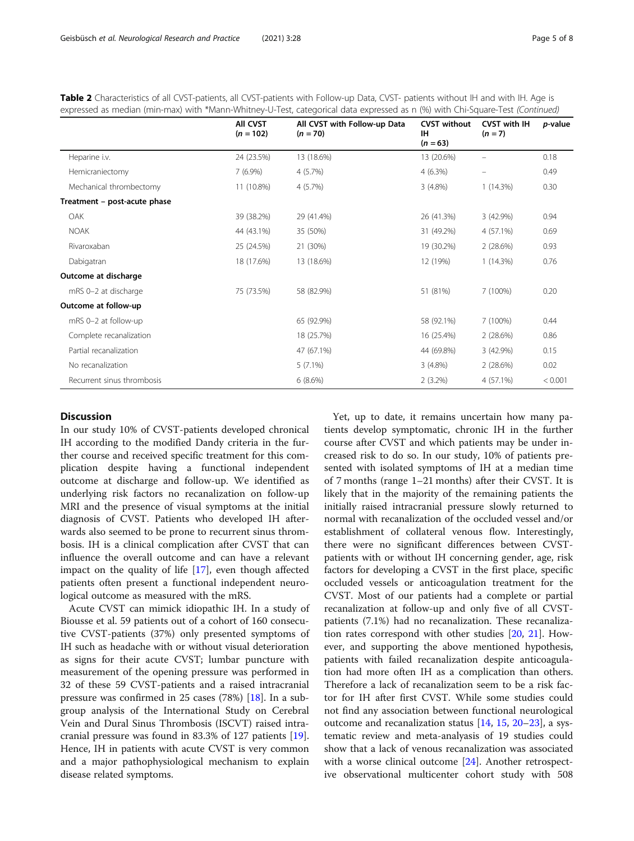|                              | <b>AII CVST</b><br>$(n = 102)$ | All CVST with Follow-up Data<br>$(n = 70)$ | <b>CVST without</b><br><b>IH</b><br>$(n = 63)$ | <b>CVST with IH</b><br>$(n = 7)$ | <i>p</i> -value |
|------------------------------|--------------------------------|--------------------------------------------|------------------------------------------------|----------------------------------|-----------------|
| Heparine i.v.                | 24 (23.5%)                     | 13 (18.6%)                                 | 13 (20.6%)                                     |                                  | 0.18            |
| Hemicraniectomy              | $7(6.9\%)$                     | 4(5.7%)                                    | $4(6.3\%)$                                     |                                  | 0.49            |
| Mechanical thrombectomy      | 11 (10.8%)                     | 4(5.7%)                                    | $3(4.8\%)$                                     | 1(14.3%)                         | 0.30            |
| Treatment - post-acute phase |                                |                                            |                                                |                                  |                 |
| OAK                          | 39 (38.2%)                     | 29 (41.4%)                                 | 26 (41.3%)                                     | 3 (42.9%)                        | 0.94            |
| <b>NOAK</b>                  | 44 (43.1%)                     | 35 (50%)                                   | 31 (49.2%)                                     | $4(57.1\%)$                      | 0.69            |
| Rivaroxaban                  | 25 (24.5%)                     | 21 (30%)                                   | 19 (30.2%)                                     | 2(28.6%)                         | 0.93            |
| Dabigatran                   | 18 (17.6%)                     | 13 (18.6%)                                 | 12 (19%)                                       | 1(14.3%)                         | 0.76            |
| Outcome at discharge         |                                |                                            |                                                |                                  |                 |
| mRS 0-2 at discharge         | 75 (73.5%)                     | 58 (82.9%)                                 | 51 (81%)                                       | 7 (100%)                         | 0.20            |
| Outcome at follow-up         |                                |                                            |                                                |                                  |                 |
| mRS 0-2 at follow-up         |                                | 65 (92.9%)                                 | 58 (92.1%)                                     | 7 (100%)                         | 0.44            |
| Complete recanalization      |                                | 18 (25.7%)                                 | 16 (25.4%)                                     | 2(28.6%)                         | 0.86            |
| Partial recanalization       |                                | 47 (67.1%)                                 | 44 (69.8%)                                     | 3 (42.9%)                        | 0.15            |
| No recanalization            |                                | $5(7.1\%)$                                 | $3(4.8\%)$                                     | 2(28.6%)                         | 0.02            |
| Recurrent sinus thrombosis   |                                | 6(8.6%)                                    | $2(3.2\%)$                                     | 4 (57.1%)                        | < 0.001         |

Table 2 Characteristics of all CVST-patients, all CVST-patients with Follow-up Data, CVST- patients without IH and with IH. Age is expressed as median (min-max) with \*Mann-Whitney-U-Test, categorical data expressed as n (%) with Chi-Square-Test (Continued)

## **Discussion**

In our study 10% of CVST-patients developed chronical IH according to the modified Dandy criteria in the further course and received specific treatment for this complication despite having a functional independent outcome at discharge and follow-up. We identified as underlying risk factors no recanalization on follow-up MRI and the presence of visual symptoms at the initial diagnosis of CVST. Patients who developed IH afterwards also seemed to be prone to recurrent sinus thrombosis. IH is a clinical complication after CVST that can influence the overall outcome and can have a relevant impact on the quality of life [[17\]](#page-7-0), even though affected patients often present a functional independent neurological outcome as measured with the mRS.

Acute CVST can mimick idiopathic IH. In a study of Biousse et al. 59 patients out of a cohort of 160 consecutive CVST-patients (37%) only presented symptoms of IH such as headache with or without visual deterioration as signs for their acute CVST; lumbar puncture with measurement of the opening pressure was performed in 32 of these 59 CVST-patients and a raised intracranial pressure was confirmed in 25 cases (78%) [[18\]](#page-7-0). In a subgroup analysis of the International Study on Cerebral Vein and Dural Sinus Thrombosis (ISCVT) raised intracranial pressure was found in 83.3% of 127 patients [\[19](#page-7-0)]. Hence, IH in patients with acute CVST is very common and a major pathophysiological mechanism to explain disease related symptoms.

Yet, up to date, it remains uncertain how many patients develop symptomatic, chronic IH in the further course after CVST and which patients may be under increased risk to do so. In our study, 10% of patients presented with isolated symptoms of IH at a median time of 7 months (range 1–21 months) after their CVST. It is likely that in the majority of the remaining patients the initially raised intracranial pressure slowly returned to normal with recanalization of the occluded vessel and/or establishment of collateral venous flow. Interestingly, there were no significant differences between CVSTpatients with or without IH concerning gender, age, risk factors for developing a CVST in the first place, specific occluded vessels or anticoagulation treatment for the CVST. Most of our patients had a complete or partial recanalization at follow-up and only five of all CVSTpatients (7.1%) had no recanalization. These recanalization rates correspond with other studies [[20](#page-7-0), [21](#page-7-0)]. However, and supporting the above mentioned hypothesis, patients with failed recanalization despite anticoagulation had more often IH as a complication than others. Therefore a lack of recanalization seem to be a risk factor for IH after first CVST. While some studies could not find any association between functional neurological outcome and recanalization status [\[14](#page-7-0), [15](#page-7-0), [20](#page-7-0)–[23](#page-7-0)], a systematic review and meta-analyasis of 19 studies could show that a lack of venous recanalization was associated with a worse clinical outcome [\[24](#page-7-0)]. Another retrospective observational multicenter cohort study with 508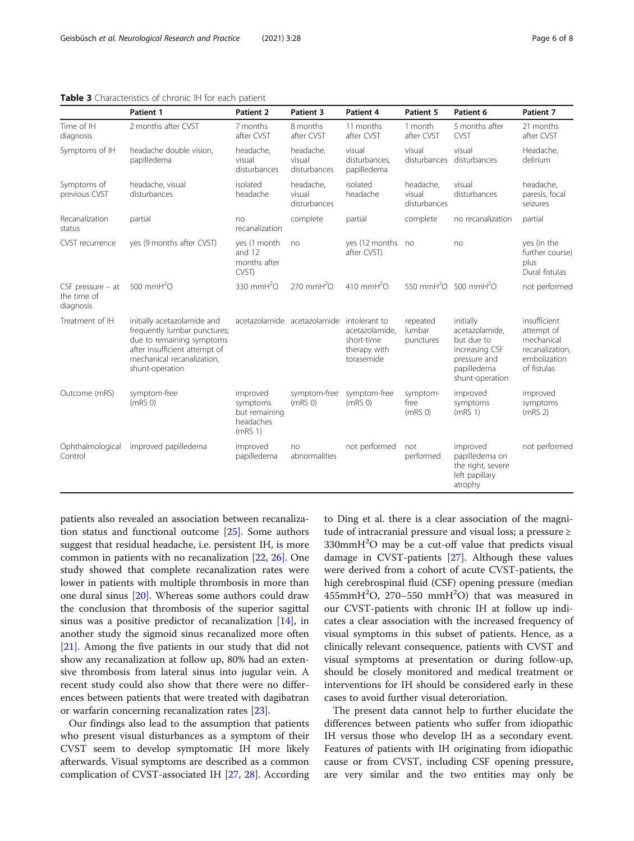<span id="page-5-0"></span>

|  | Table 3 Characteristics of chronic IH for each patient |  |  |  |
|--|--------------------------------------------------------|--|--|--|
|  |                                                        |  |  |  |

|                                                   | Patient 1                                                                                                                                                                  | Patient 2                                                                 | Patient 3                           | Patient 4                                                                   | Patient 5                               | Patient 6                                                                                                     | Patient 7                                                                                  |
|---------------------------------------------------|----------------------------------------------------------------------------------------------------------------------------------------------------------------------------|---------------------------------------------------------------------------|-------------------------------------|-----------------------------------------------------------------------------|-----------------------------------------|---------------------------------------------------------------------------------------------------------------|--------------------------------------------------------------------------------------------|
| Time of IH<br>diagnosis                           | 2 months after CVST                                                                                                                                                        | 7 months<br>after CVST                                                    | 8 months<br>after CVST              | 11 months<br>after CVST                                                     | 1 month<br>after CVST                   | 5 months after<br>CVST                                                                                        | 21 months<br>after CVST                                                                    |
| Symptoms of IH                                    | headache double vision,<br>papilledema                                                                                                                                     | headache,<br>visual<br>disturbances                                       | headache,<br>visual<br>disturbances | visual<br>disturbances.<br>papilledema                                      | visual<br>disturbances                  | visual<br>disturbances                                                                                        |                                                                                            |
| Symptoms of<br>previous CVST                      | headache, visual<br>disturbances                                                                                                                                           | isolated<br>headache                                                      | headache,<br>visual<br>disturbances | isolated<br>headache                                                        | headache,<br>visual<br>disturbances     | visual<br>disturbances                                                                                        | headache,<br>paresis, focal<br>seizures                                                    |
| Recanalization<br>status                          | partial                                                                                                                                                                    | no<br>recanalization                                                      | complete                            | partial                                                                     | complete                                | no recanalization                                                                                             | partial                                                                                    |
| CVST recurrence                                   | yes (9 months after CVST)                                                                                                                                                  | yes (1 month<br>and 12<br>months after<br>CVST)                           | no                                  | yes (12 months no<br>after CVST)                                            |                                         | no                                                                                                            | yes (in the<br>further course)<br>plus<br>Dural fistulas                                   |
| $CSF$ pressure $-$ at<br>the time of<br>diagnosis | 500 mm $H2O$                                                                                                                                                               | 330 mmH <sup>2</sup> O                                                    | $270$ mmH <sup>2</sup> $O$          | 410 mm $H2O$                                                                |                                         | 550 mmH <sup>2</sup> O 500 mmH <sup>2</sup> O                                                                 | not performed                                                                              |
| Treatment of IH                                   | initially acetazolamide and<br>frequently lumbar punctures;<br>due to remaining symptoms<br>after insufficient attempt of<br>mechanical recanalization,<br>shunt-operation |                                                                           | acetazolamide acetazolamide         | intolerant to<br>acetazolamide.<br>short-time<br>therapy with<br>torasemide | repeated<br>lumbar<br>punctures         | initially<br>acetazolamide,<br>but due to<br>increasing CSF<br>pressure and<br>papilledema<br>shunt-operation | insufficient<br>attempt of<br>mechanical<br>recanalization.<br>embolization<br>of fistulas |
| Outcome (mRS)                                     | symptom-free<br>(mRS <sub>0</sub> )                                                                                                                                        | improved<br>symptoms<br>but remaining<br>headaches<br>(mRS <sub>1</sub> ) | symptom-free<br>(mRS <sub>0</sub> ) | symptom-free<br>(mRS <sub>0</sub> )                                         | symptom-<br>free<br>(mRS <sub>0</sub> ) | improved<br>symptoms<br>(mRS 1)                                                                               | improved<br>symptoms<br>(mRS <sub>2</sub> )                                                |
| Ophthalmological<br>Control                       | improved papilledema                                                                                                                                                       | improved<br>papilledema                                                   | no<br>abnormalities                 | not performed                                                               | not<br>performed                        | improved<br>papilledema on<br>the right, severe<br>left papillary<br>atrophy                                  | not performed                                                                              |

patients also revealed an association between recanalization status and functional outcome [\[25](#page-7-0)]. Some authors suggest that residual headache, i.e. persistent IH, is more common in patients with no recanalization [[22,](#page-7-0) [26\]](#page-7-0). One study showed that complete recanalization rates were lower in patients with multiple thrombosis in more than one dural sinus [\[20](#page-7-0)]. Whereas some authors could draw the conclusion that thrombosis of the superior sagittal sinus was a positive predictor of recanalization  $[14]$  $[14]$ , in another study the sigmoid sinus recanalized more often [[21\]](#page-7-0). Among the five patients in our study that did not show any recanalization at follow up, 80% had an extensive thrombosis from lateral sinus into jugular vein. A recent study could also show that there were no differences between patients that were treated with dagibatran or warfarin concerning recanalization rates [[23\]](#page-7-0).

Our findings also lead to the assumption that patients who present visual disturbances as a symptom of their CVST seem to develop symptomatic IH more likely afterwards. Visual symptoms are described as a common complication of CVST-associated IH [[27](#page-7-0), [28\]](#page-7-0). According

to Ding et al. there is a clear association of the magnitude of intracranial pressure and visual loss; a pressure ≥ 330mmH<sup>2</sup>O may be a cut-off value that predicts visual damage in CVST-patients [\[27](#page-7-0)]. Although these values were derived from a cohort of acute CVST-patients, the high cerebrospinal fluid (CSF) opening pressure (median  $455$ mm $H^2O$ , 270-550 mm $H^2O$ ) that was measured in our CVST-patients with chronic IH at follow up indicates a clear association with the increased frequency of visual symptoms in this subset of patients. Hence, as a clinically relevant consequence, patients with CVST and visual symptoms at presentation or during follow-up, should be closely monitored and medical treatment or interventions for IH should be considered early in these cases to avoid further visual deteroriation.

The present data cannot help to further elucidate the differences between patients who suffer from idiopathic IH versus those who develop IH as a secondary event. Features of patients with IH originating from idiopathic cause or from CVST, including CSF opening pressure, are very similar and the two entities may only be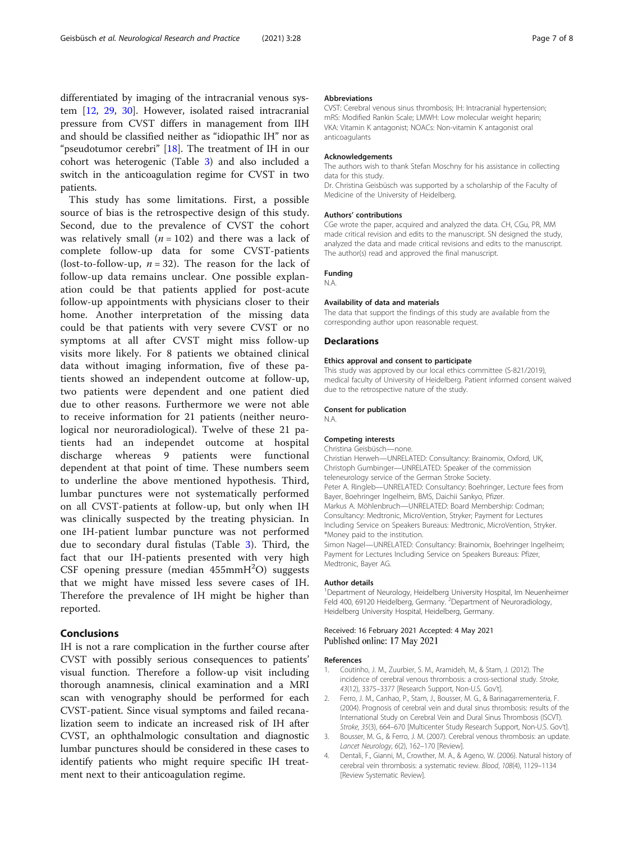<span id="page-6-0"></span>differentiated by imaging of the intracranial venous system [[12](#page-7-0), [29](#page-7-0), [30](#page-7-0)]. However, isolated raised intracranial pressure from CVST differs in management from IIH and should be classified neither as "idiopathic IH" nor as "pseudotumor cerebri" [[18\]](#page-7-0). The treatment of IH in our cohort was heterogenic (Table [3](#page-5-0)) and also included a switch in the anticoagulation regime for CVST in two patients.

This study has some limitations. First, a possible source of bias is the retrospective design of this study. Second, due to the prevalence of CVST the cohort was relatively small  $(n = 102)$  and there was a lack of complete follow-up data for some CVST-patients (lost-to-follow-up,  $n = 32$ ). The reason for the lack of follow-up data remains unclear. One possible explanation could be that patients applied for post-acute follow-up appointments with physicians closer to their home. Another interpretation of the missing data could be that patients with very severe CVST or no symptoms at all after CVST might miss follow-up visits more likely. For 8 patients we obtained clinical data without imaging information, five of these patients showed an independent outcome at follow-up, two patients were dependent and one patient died due to other reasons. Furthermore we were not able to receive information for 21 patients (neither neurological nor neuroradiological). Twelve of these 21 patients had an independet outcome at hospital discharge whereas 9 patients were functional dependent at that point of time. These numbers seem to underline the above mentioned hypothesis. Third, lumbar punctures were not systematically performed on all CVST-patients at follow-up, but only when IH was clinically suspected by the treating physician. In one IH-patient lumbar puncture was not performed due to secondary dural fistulas (Table [3\)](#page-5-0). Third, the fact that our IH-patients presented with very high CSF opening pressure (median  $455$ mm $H<sup>2</sup>O$ ) suggests that we might have missed less severe cases of IH. Therefore the prevalence of IH might be higher than reported.

## Conclusions

IH is not a rare complication in the further course after CVST with possibly serious consequences to patients' visual function. Therefore a follow-up visit including thorough anamnesis, clinical examination and a MRI scan with venography should be performed for each CVST-patient. Since visual symptoms and failed recanalization seem to indicate an increased risk of IH after CVST, an ophthalmologic consultation and diagnostic lumbar punctures should be considered in these cases to identify patients who might require specific IH treatment next to their anticoagulation regime.

#### Abbreviations

CVST: Cerebral venous sinus thrombosis; IH: Intracranial hypertension; mRS: Modified Rankin Scale; LMWH: Low molecular weight heparin; VKA: Vitamin K antagonist; NOACs: Non-vitamin K antagonist oral anticoagulants

#### Acknowledgements

The authors wish to thank Stefan Moschny for his assistance in collecting data for this study.

Dr. Christina Geisbüsch was supported by a scholarship of the Faculty of Medicine of the University of Heidelberg.

#### Authors' contributions

CGe wrote the paper, acquired and analyzed the data. CH, CGu, PR, MM made critical revision and edits to the manuscript. SN designed the study, analyzed the data and made critical revisions and edits to the manuscript. The author(s) read and approved the final manuscript.

#### Funding

N.A.

#### Availability of data and materials

The data that support the findings of this study are available from the corresponding author upon reasonable request.

#### **Declarations**

#### Ethics approval and consent to participate

This study was approved by our local ethics committee (S-821/2019), medical faculty of University of Heidelberg. Patient informed consent waived due to the retrospective nature of the study.

#### Consent for publication

N.A.

## Competing interests

Christina Geisbüsch—none. Christian Herweh—UNRELATED: Consultancy: Brainomix, Oxford, UK, Christoph Gumbinger—UNRELATED: Speaker of the commission teleneurology service of the German Stroke Society. Peter A. Ringleb—UNRELATED: Consultancy: Boehringer, Lecture fees from Bayer, Boehringer Ingelheim, BMS, Daichii Sankyo, Pfizer. Markus A. Möhlenbruch—UNRELATED: Board Membership: Codman; Consultancy: Medtronic, MicroVention, Stryker; Payment for Lectures Including Service on Speakers Bureaus: Medtronic, MicroVention, Stryker. \*Money paid to the institution. Simon Nagel—UNRELATED: Consultancy: Brainomix, Boehringer Ingelheim; Payment for Lectures Including Service on Speakers Bureaus: Pfizer, Medtronic, Bayer AG.

#### Author details

<sup>1</sup>Department of Neurology, Heidelberg University Hospital, Im Neuenheimer Feld 400, 69120 Heidelberg, Germany. <sup>2</sup> Department of Neuroradiology, Heidelberg University Hospital, Heidelberg, Germany.

### Received: 16 February 2021 Accepted: 4 May 2021 Published online: 17 May 2021

#### References

- 1. Coutinho, J. M., Zuurbier, S. M., Aramideh, M., & Stam, J. (2012). The incidence of cerebral venous thrombosis: a cross-sectional study. Stroke, 43(12), 3375–3377 [Research Support, Non-U.S. Gov't].
- 2. Ferro, J. M., Canhao, P., Stam, J., Bousser, M. G., & Barinagarrementeria, F. (2004). Prognosis of cerebral vein and dural sinus thrombosis: results of the International Study on Cerebral Vein and Dural Sinus Thrombosis (ISCVT). Stroke, 35(3), 664–670 [Multicenter Study Research Support, Non-U.S. Gov't].
- 3. Bousser, M. G., & Ferro, J. M. (2007). Cerebral venous thrombosis: an update. Lancet Neurology, 6(2), 162–170 [Review].
- 4. Dentali, F., Gianni, M., Crowther, M. A., & Ageno, W. (2006). Natural history of cerebral vein thrombosis: a systematic review. Blood, 108(4), 1129–1134 [Review Systematic Review].